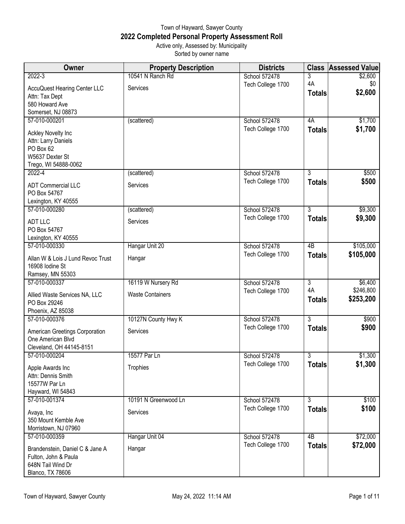## Town of Hayward, Sawyer County **2022 Completed Personal Property Assessment Roll** Active only, Assessed by: Municipality

Sorted by owner name

| Owner                               | <b>Property Description</b> | <b>Districts</b>  | <b>Class</b>   | <b>Assessed Value</b> |
|-------------------------------------|-----------------------------|-------------------|----------------|-----------------------|
| $2022 - 3$                          | 10541 N Ranch Rd            | School 572478     | 3              | \$2,600               |
| <b>AccuQuest Hearing Center LLC</b> | Services                    | Tech College 1700 | 4A             | \$0                   |
| Attn: Tax Dept                      |                             |                   | <b>Totals</b>  | \$2,600               |
| 580 Howard Ave                      |                             |                   |                |                       |
| Somerset, NJ 08873                  |                             |                   |                |                       |
| 57-010-000201                       | (scattered)                 | School 572478     | 4A             | \$1,700               |
| Ackley Novelty Inc                  |                             | Tech College 1700 | <b>Totals</b>  | \$1,700               |
| Attn: Larry Daniels                 |                             |                   |                |                       |
| PO Box 62                           |                             |                   |                |                       |
| W5637 Dexter St                     |                             |                   |                |                       |
| Trego, WI 54888-0062                |                             |                   |                |                       |
| 2022-4                              | (scattered)                 | School 572478     | 3              | \$500                 |
| <b>ADT Commercial LLC</b>           | Services                    | Tech College 1700 | <b>Totals</b>  | \$500                 |
| PO Box 54767                        |                             |                   |                |                       |
| Lexington, KY 40555                 |                             |                   |                |                       |
| 57-010-000280                       | (scattered)                 | School 572478     | $\overline{3}$ | \$9,300               |
| <b>ADT LLC</b>                      | Services                    | Tech College 1700 | <b>Totals</b>  | \$9,300               |
| PO Box 54767                        |                             |                   |                |                       |
| Lexington, KY 40555                 |                             |                   |                |                       |
| 57-010-000330                       | Hangar Unit 20              | School 572478     | 4B             | \$105,000             |
| Allan W & Lois J Lund Revoc Trust   | Hangar                      | Tech College 1700 | <b>Totals</b>  | \$105,000             |
| 16908 Iodine St                     |                             |                   |                |                       |
| Ramsey, MN 55303                    |                             |                   |                |                       |
| 57-010-000337                       | 16119 W Nursery Rd          | School 572478     | 3              | \$6,400               |
| Allied Waste Services NA, LLC       | <b>Waste Containers</b>     | Tech College 1700 | 4A             | \$246,800             |
| PO Box 29246                        |                             |                   | <b>Totals</b>  | \$253,200             |
| Phoenix, AZ 85038                   |                             |                   |                |                       |
| 57-010-000376                       | 10127N County Hwy K         | School 572478     | $\overline{3}$ | \$900                 |
| American Greetings Corporation      | Services                    | Tech College 1700 | <b>Totals</b>  | \$900                 |
| One American Blvd                   |                             |                   |                |                       |
| Cleveland, OH 44145-8151            |                             |                   |                |                       |
| 57-010-000204                       | 15577 Par Ln                | School 572478     | $\overline{3}$ | \$1,300               |
| Apple Awards Inc                    | Trophies                    | Tech College 1700 | <b>Totals</b>  | \$1,300               |
| Attn: Dennis Smith                  |                             |                   |                |                       |
| 15577W Par Ln                       |                             |                   |                |                       |
| Hayward, WI 54843                   |                             |                   |                |                       |
| 57-010-001374                       | 10191 N Greenwood Ln        | School 572478     | 3              | \$100                 |
| Avaya, Inc                          | Services                    | Tech College 1700 | <b>Totals</b>  | \$100                 |
| 350 Mount Kemble Ave                |                             |                   |                |                       |
| Morristown, NJ 07960                |                             |                   |                |                       |
| 57-010-000359                       | Hangar Unit 04              | School 572478     | 4B             | \$72,000              |
| Brandenstein, Daniel C & Jane A     | Hangar                      | Tech College 1700 | <b>Totals</b>  | \$72,000              |
| Fulton, John & Paula                |                             |                   |                |                       |
| 648N Tail Wind Dr                   |                             |                   |                |                       |
| Blanco, TX 78606                    |                             |                   |                |                       |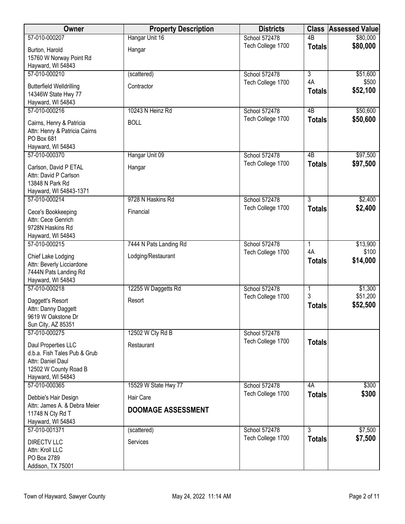| Owner                                                                                                                  | <b>Property Description</b>            | <b>Districts</b>                   |                                 | <b>Class Assessed Value</b> |
|------------------------------------------------------------------------------------------------------------------------|----------------------------------------|------------------------------------|---------------------------------|-----------------------------|
| 57-010-000207                                                                                                          | Hangar Unit 16                         | School 572478                      | 4B                              | \$80,000                    |
| Burton, Harold<br>15760 W Norway Point Rd<br>Hayward, WI 54843                                                         | Hangar                                 | Tech College 1700                  | <b>Totals</b>                   | \$80,000                    |
| 57-010-000210                                                                                                          | (scattered)                            | School 572478                      | $\overline{3}$                  | \$51,600                    |
| <b>Butterfield Welldrilling</b><br>14346W State Hwy 77<br>Hayward, WI 54843                                            | Contractor                             | Tech College 1700                  | 4A<br><b>Totals</b>             | \$500<br>\$52,100           |
| 57-010-000216                                                                                                          | 10243 N Heinz Rd                       | School 572478                      | 4B                              | \$50,600                    |
| Cairns, Henry & Patricia<br>Attn: Henry & Patricia Cairns<br>PO Box 681<br>Hayward, WI 54843                           | <b>BOLL</b>                            | Tech College 1700                  | <b>Totals</b>                   | \$50,600                    |
| 57-010-000370                                                                                                          | Hangar Unit 09                         | School 572478                      | 4B                              | \$97,500                    |
| Carlson, David P ETAL<br>Attn: David P Carlson<br>13848 N Park Rd<br>Hayward, WI 54843-1371                            | Hangar                                 | Tech College 1700                  | <b>Totals</b>                   | \$97,500                    |
| 57-010-000214                                                                                                          | 9728 N Haskins Rd                      | School 572478                      | $\overline{3}$                  | \$2,400                     |
| Cece's Bookkeeping<br>Attn: Cece Genrich<br>9728N Haskins Rd<br>Hayward, WI 54843                                      | Financial                              | Tech College 1700                  | <b>Totals</b>                   | \$2,400                     |
| 57-010-000215                                                                                                          | 7444 N Pats Landing Rd                 | School 572478                      | $\mathbf{1}$                    | \$13,900                    |
| Chief Lake Lodging<br>Attn: Beverly Licciardone<br>7444N Pats Landing Rd<br>Hayward, WI 54843                          | Lodging/Restaurant                     | Tech College 1700                  | 4A<br><b>Totals</b>             | \$100<br>\$14,000           |
| 57-010-000218                                                                                                          | 12255 W Daggetts Rd                    | School 572478                      | 1                               | \$1,300                     |
| Daggett's Resort<br>Attn: Danny Daggett<br>9619 W Oakstone Dr<br>Sun City, AZ 85351                                    | Resort                                 | Tech College 1700                  | 3<br><b>Totals</b>              | \$51,200<br>\$52,500        |
| 57-010-000275                                                                                                          | 12502 W Cty Rd B                       | School 572478                      |                                 |                             |
| Daul Properties LLC<br>d.b.a. Fish Tales Pub & Grub<br>Attn: Daniel Daul<br>12502 W County Road B<br>Hayward, WI 54843 | Restaurant                             | Tech College 1700                  | <b>Totals</b>                   |                             |
| 57-010-000365                                                                                                          | 15529 W State Hwy 77                   | School 572478                      | 4A                              | \$300                       |
| Debbie's Hair Design<br>Attn: James A. & Debra Meier<br>11748 N Cty Rd T                                               | Hair Care<br><b>DOOMAGE ASSESSMENT</b> | Tech College 1700                  | <b>Totals</b>                   | \$300                       |
| Hayward, WI 54843                                                                                                      |                                        |                                    |                                 |                             |
| 57-010-001371<br><b>DIRECTV LLC</b>                                                                                    | (scattered)<br>Services                | School 572478<br>Tech College 1700 | $\overline{3}$<br><b>Totals</b> | \$7,500<br>\$7,500          |
| Attn: Kroll LLC<br>PO Box 2789<br>Addison, TX 75001                                                                    |                                        |                                    |                                 |                             |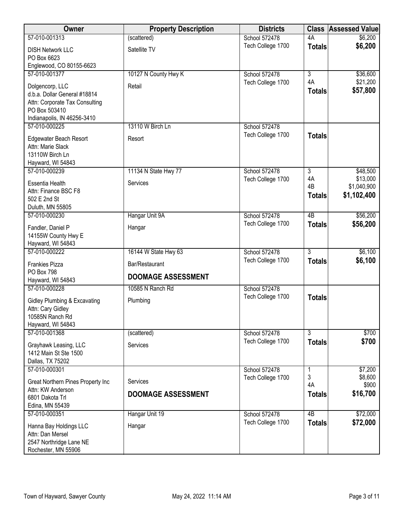| Owner                                                                                              | <b>Property Description</b>                 | <b>Districts</b>  |                           | <b>Class Assessed Value</b>            |
|----------------------------------------------------------------------------------------------------|---------------------------------------------|-------------------|---------------------------|----------------------------------------|
| 57-010-001313                                                                                      | (scattered)                                 | School 572478     | 4A                        | \$6,200                                |
| <b>DISH Network LLC</b><br>PO Box 6623                                                             | Satellite TV                                | Tech College 1700 | <b>Totals</b>             | \$6,200                                |
| Englewood, CO 80155-6623                                                                           |                                             |                   |                           |                                        |
| 57-010-001377                                                                                      | 10127 N County Hwy K                        | School 572478     | $\overline{3}$            | \$36,600                               |
| Dolgencorp, LLC<br>d.b.a. Dollar General #18814<br>Attn: Corporate Tax Consulting<br>PO Box 503410 | Retail                                      | Tech College 1700 | 4A<br><b>Totals</b>       | \$21,200<br>\$57,800                   |
| Indianapolis, IN 46256-3410                                                                        |                                             |                   |                           |                                        |
| 57-010-000225                                                                                      | 13110 W Birch Ln                            | School 572478     |                           |                                        |
| Edgewater Beach Resort<br>Attn: Marie Slack<br>13110W Birch Ln<br>Hayward, WI 54843                | Resort                                      | Tech College 1700 | <b>Totals</b>             |                                        |
| 57-010-000239                                                                                      | 11134 N State Hwy 77                        | School 572478     | $\overline{3}$            | \$48,500                               |
| <b>Essentia Health</b><br>Attn: Finance BSC F8<br>502 E 2nd St<br>Duluth, MN 55805                 | Services                                    | Tech College 1700 | 4A<br>4B<br><b>Totals</b> | \$13,000<br>\$1,040,900<br>\$1,102,400 |
| 57-010-000230                                                                                      | Hangar Unit 9A                              | School 572478     | $\overline{AB}$           | \$56,200                               |
| Fandler, Daniel P<br>14155W County Hwy E<br>Hayward, WI 54843                                      | Hangar                                      | Tech College 1700 | <b>Totals</b>             | \$56,200                               |
| 57-010-000222                                                                                      | 16144 W State Hwy 63                        | School 572478     | $\overline{3}$            | \$6,100                                |
| <b>Frankies Pizza</b><br>PO Box 798<br>Hayward, WI 54843                                           | Bar/Restaurant<br><b>DOOMAGE ASSESSMENT</b> | Tech College 1700 | <b>Totals</b>             | \$6,100                                |
| 57-010-000228                                                                                      | 10585 N Ranch Rd                            | School 572478     |                           |                                        |
| Gidley Plumbing & Excavating<br>Attn: Cary Gidley<br>10585N Ranch Rd<br>Hayward, WI 54843          | Plumbing                                    | Tech College 1700 | <b>Totals</b>             |                                        |
| 57-010-001368                                                                                      | (scattered)                                 | School 572478     | $\overline{3}$            | \$700                                  |
| Grayhawk Leasing, LLC<br>1412 Main St Ste 1500<br>Dallas, TX 75202                                 | Services                                    | Tech College 1700 | <b>Totals</b>             | \$700                                  |
| 57-010-000301                                                                                      |                                             | School 572478     | 1                         | \$7,200                                |
| Great Northern Pines Property Inc<br>Attn: KW Anderson<br>6801 Dakota Trl<br>Edina, MN 55439       | Services<br><b>DOOMAGE ASSESSMENT</b>       | Tech College 1700 | 3<br>4A<br><b>Totals</b>  | \$8,600<br>\$900<br>\$16,700           |
| 57-010-000351                                                                                      | Hangar Unit 19                              | School 572478     | 4B                        | \$72,000                               |
| Hanna Bay Holdings LLC<br>Attn: Dan Mersel<br>2547 Northridge Lane NE<br>Rochester, MN 55906       | Hangar                                      | Tech College 1700 | <b>Totals</b>             | \$72,000                               |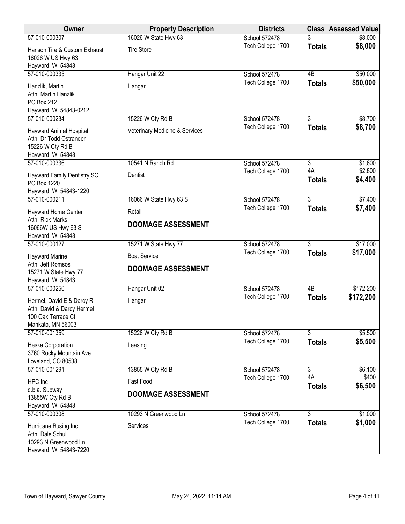| Owner                                                                                              | <b>Property Description</b>                      | <b>Districts</b>                   |                     | <b>Class Assessed Value</b> |
|----------------------------------------------------------------------------------------------------|--------------------------------------------------|------------------------------------|---------------------|-----------------------------|
| 57-010-000307                                                                                      | 16026 W State Hwy 63                             | School 572478                      | 3                   | \$8,000                     |
| Hanson Tire & Custom Exhaust<br>16026 W US Hwy 63                                                  | <b>Tire Store</b>                                | Tech College 1700                  | <b>Totals</b>       | \$8,000                     |
| Hayward, WI 54843                                                                                  |                                                  |                                    |                     |                             |
| 57-010-000335                                                                                      | Hangar Unit 22                                   | School 572478                      | 4B                  | \$50,000                    |
| Hanzlik, Martin<br>Attn: Martin Hanzlik<br>PO Box 212                                              | Hangar                                           | Tech College 1700                  | <b>Totals</b>       | \$50,000                    |
| Hayward, WI 54843-0212                                                                             |                                                  |                                    |                     |                             |
| 57-010-000234                                                                                      | 15226 W Cty Rd B                                 | School 572478                      | $\overline{3}$      | \$8,700                     |
| <b>Hayward Animal Hospital</b><br>Attn: Dr Todd Ostrander<br>15226 W Cty Rd B<br>Hayward, WI 54843 | Veterinary Medicine & Services                   | Tech College 1700                  | <b>Totals</b>       | \$8,700                     |
| 57-010-000336                                                                                      | 10541 N Ranch Rd                                 | School 572478                      | $\overline{3}$      | \$1,600                     |
| <b>Hayward Family Dentistry SC</b><br>PO Box 1220<br>Hayward, WI 54843-1220                        | Dentist                                          | Tech College 1700                  | 4A<br><b>Totals</b> | \$2,800<br>\$4,400          |
| 57-010-000211                                                                                      | 16066 W State Hwy 63 S                           | School 572478                      | $\overline{3}$      | \$7,400                     |
| Hayward Home Center<br>Attn: Rick Marks                                                            | Retail                                           | Tech College 1700                  | <b>Totals</b>       | \$7,400                     |
| 16066W US Hwy 63 S<br>Hayward, WI 54843                                                            | <b>DOOMAGE ASSESSMENT</b>                        |                                    |                     |                             |
| 57-010-000127                                                                                      | 15271 W State Hwy 77                             | School 572478                      | 3                   | \$17,000                    |
| <b>Hayward Marine</b><br>Attn: Jeff Romsos<br>15271 W State Hwy 77                                 | <b>Boat Service</b><br><b>DOOMAGE ASSESSMENT</b> | Tech College 1700                  | <b>Totals</b>       | \$17,000                    |
| Hayward, WI 54843<br>57-010-000250                                                                 |                                                  |                                    |                     |                             |
| Hermel, David E & Darcy R<br>Attn: David & Darcy Hermel<br>100 Oak Terrace Ct<br>Mankato, MN 56003 | Hangar Unit 02<br>Hangar                         | School 572478<br>Tech College 1700 | 4B<br><b>Totals</b> | \$172,200<br>\$172,200      |
| 57-010-001359                                                                                      | 15226 W Cty Rd B                                 | School 572478                      | $\overline{3}$      | \$5,500                     |
| Heska Corporation<br>3760 Rocky Mountain Ave<br>Loveland, CO 80538                                 | Leasing                                          | Tech College 1700                  | <b>Totals</b>       | \$5,500                     |
| 57-010-001291                                                                                      | 13855 W Cty Rd B                                 | School 572478                      | $\overline{3}$      | \$6,100                     |
| HPC Inc                                                                                            | Fast Food                                        | Tech College 1700                  | 4A<br><b>Totals</b> | \$400<br>\$6,500            |
| d.b.a. Subway<br>13855W Cty Rd B<br>Hayward, WI 54843                                              | <b>DOOMAGE ASSESSMENT</b>                        |                                    |                     |                             |
| 57-010-000308                                                                                      | 10293 N Greenwood Ln                             | School 572478                      | $\overline{3}$      | \$1,000                     |
| Hurricane Busing Inc<br>Attn: Dale Schull<br>10293 N Greenwood Ln<br>Hayward, WI 54843-7220        | Services                                         | Tech College 1700                  | <b>Totals</b>       | \$1,000                     |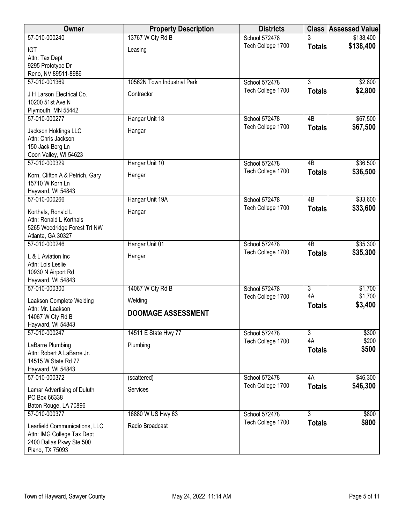| Owner                                              | <b>Property Description</b> | <b>Districts</b>  | <b>Class</b>    | <b>Assessed Value</b> |
|----------------------------------------------------|-----------------------------|-------------------|-----------------|-----------------------|
| 57-010-000240                                      | 13767 W Cty Rd B            | School 572478     |                 | \$138,400             |
| <b>IGT</b>                                         | Leasing                     | Tech College 1700 | <b>Totals</b>   | \$138,400             |
| Attn: Tax Dept                                     |                             |                   |                 |                       |
| 9295 Prototype Dr                                  |                             |                   |                 |                       |
| Reno, NV 89511-8986                                |                             |                   |                 |                       |
| 57-010-001369                                      | 10562N Town Industrial Park | School 572478     | $\overline{3}$  | \$2,800               |
| J H Larson Electrical Co.                          | Contractor                  | Tech College 1700 | <b>Totals</b>   | \$2,800               |
| 10200 51st Ave N                                   |                             |                   |                 |                       |
| Plymouth, MN 55442                                 |                             |                   |                 |                       |
| 57-010-000277                                      | Hangar Unit 18              | School 572478     | 4B              | \$67,500              |
| Jackson Holdings LLC                               | Hangar                      | Tech College 1700 | <b>Totals</b>   | \$67,500              |
| Attn: Chris Jackson                                |                             |                   |                 |                       |
| 150 Jack Berg Ln                                   |                             |                   |                 |                       |
| Coon Valley, WI 54623                              |                             |                   |                 |                       |
| 57-010-000329                                      | Hangar Unit 10              | School 572478     | 4B              | \$36,500              |
|                                                    |                             | Tech College 1700 | <b>Totals</b>   | \$36,500              |
| Korn, Clifton A & Petrich, Gary<br>15710 W Korn Ln | Hangar                      |                   |                 |                       |
| Hayward, WI 54843                                  |                             |                   |                 |                       |
| 57-010-000266                                      | Hangar Unit 19A             | School 572478     | $\overline{AB}$ | \$33,600              |
|                                                    |                             | Tech College 1700 | <b>Totals</b>   | \$33,600              |
| Korthals, Ronald L                                 | Hangar                      |                   |                 |                       |
| Attn: Ronald L Korthals                            |                             |                   |                 |                       |
| 5265 Woodridge Forest Trl NW<br>Atlanta, GA 30327  |                             |                   |                 |                       |
| 57-010-000246                                      | Hangar Unit 01              | School 572478     | $\overline{AB}$ | \$35,300              |
|                                                    |                             | Tech College 1700 | <b>Totals</b>   | \$35,300              |
| L & L Aviation Inc                                 | Hangar                      |                   |                 |                       |
| Attn: Lois Leslie                                  |                             |                   |                 |                       |
| 10930 N Airport Rd<br>Hayward, WI 54843            |                             |                   |                 |                       |
| 57-010-000300                                      | 14067 W Cty Rd B            | School 572478     | $\overline{3}$  | \$1,700               |
|                                                    |                             | Tech College 1700 | 4A              | \$1,700               |
| Laakson Complete Welding                           | Welding                     |                   | <b>Totals</b>   | \$3,400               |
| Attn: Mr. Laakson                                  | <b>DOOMAGE ASSESSMENT</b>   |                   |                 |                       |
| 14067 W Cty Rd B                                   |                             |                   |                 |                       |
| Hayward, WI 54843<br>57-010-000247                 | 14511 E State Hwy 77        | School 572478     | 3               | \$300                 |
|                                                    |                             | Tech College 1700 | 4A              | \$200                 |
| LaBarre Plumbing                                   | Plumbing                    |                   | <b>Totals</b>   | \$500                 |
| Attn: Robert A LaBarre Jr.                         |                             |                   |                 |                       |
| 14515 W State Rd 77                                |                             |                   |                 |                       |
| Hayward, WI 54843<br>57-010-000372                 | (scattered)                 | School 572478     | 4A              | \$46,300              |
|                                                    |                             | Tech College 1700 | <b>Totals</b>   | \$46,300              |
| Lamar Advertising of Duluth                        | Services                    |                   |                 |                       |
| PO Box 66338                                       |                             |                   |                 |                       |
| Baton Rouge, LA 70896                              |                             |                   |                 |                       |
| 57-010-000377                                      | 16880 W US Hwy 63           | School 572478     | $\overline{3}$  | \$800                 |
| Learfield Communications, LLC                      | Radio Broadcast             | Tech College 1700 | <b>Totals</b>   | \$800                 |
| Attn: IMG College Tax Dept                         |                             |                   |                 |                       |
| 2400 Dallas Pkwy Ste 500                           |                             |                   |                 |                       |
| Plano, TX 75093                                    |                             |                   |                 |                       |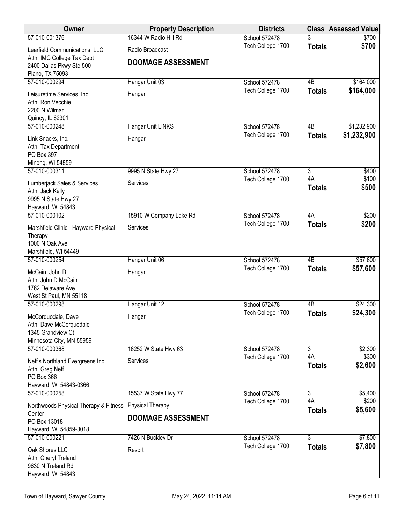| Owner                                                  | <b>Property Description</b> | <b>Districts</b>  |                 | <b>Class Assessed Value</b> |
|--------------------------------------------------------|-----------------------------|-------------------|-----------------|-----------------------------|
| 57-010-001376                                          | 16344 W Radio Hill Rd       | School 572478     |                 | \$700                       |
| Learfield Communications, LLC                          | Radio Broadcast             | Tech College 1700 | <b>Totals</b>   | \$700                       |
| Attn: IMG College Tax Dept<br>2400 Dallas Pkwy Ste 500 | <b>DOOMAGE ASSESSMENT</b>   |                   |                 |                             |
| Plano, TX 75093                                        |                             |                   |                 |                             |
| 57-010-000294                                          | Hangar Unit 03              | School 572478     | 4B              | \$164,000                   |
| Leisuretime Services, Inc                              | Hangar                      | Tech College 1700 | <b>Totals</b>   | \$164,000                   |
| Attn: Ron Vecchie<br>2200 N Wilmar                     |                             |                   |                 |                             |
| Quincy, IL 62301                                       |                             |                   |                 |                             |
| 57-010-000248                                          | Hangar Unit LINKS           | School 572478     | 4B              | \$1,232,900                 |
| Link Snacks, Inc.                                      | Hangar                      | Tech College 1700 | <b>Totals</b>   | \$1,232,900                 |
| Attn: Tax Department                                   |                             |                   |                 |                             |
| PO Box 397<br>Minong, WI 54859                         |                             |                   |                 |                             |
| 57-010-000311                                          | 9995 N State Hwy 27         | School 572478     | $\overline{3}$  | \$400                       |
| Lumberjack Sales & Services                            | Services                    | Tech College 1700 | 4A              | \$100                       |
| Attn: Jack Kelly                                       |                             |                   | <b>Totals</b>   | \$500                       |
| 9995 N State Hwy 27<br>Hayward, WI 54843               |                             |                   |                 |                             |
| 57-010-000102                                          | 15910 W Company Lake Rd     | School 572478     | 4A              | \$200                       |
| Marshfield Clinic - Hayward Physical                   | Services                    | Tech College 1700 | <b>Totals</b>   | \$200                       |
| Therapy                                                |                             |                   |                 |                             |
| 1000 N Oak Ave<br>Marshfield, WI 54449                 |                             |                   |                 |                             |
| 57-010-000254                                          | Hangar Unit 06              | School 572478     | $\overline{AB}$ | \$57,600                    |
| McCain, John D                                         | Hangar                      | Tech College 1700 | <b>Totals</b>   | \$57,600                    |
| Attn: John D McCain                                    |                             |                   |                 |                             |
| 1762 Delaware Ave<br>West St Paul, MN 55118            |                             |                   |                 |                             |
| 57-010-000298                                          | Hangar Unit 12              | School 572478     | 4B              | \$24,300                    |
| McCorquodale, Dave                                     | Hangar                      | Tech College 1700 | <b>Totals</b>   | \$24,300                    |
| Attn: Dave McCorquodale                                |                             |                   |                 |                             |
| 1345 Grandview Ct<br>Minnesota City, MN 55959          |                             |                   |                 |                             |
| 57-010-000368                                          | 16252 W State Hwy 63        | School 572478     | $\overline{3}$  | \$2,300                     |
| Neff's Northland Evergreens Inc                        | Services                    | Tech College 1700 | 4A              | \$300                       |
| Attn: Greg Neff                                        |                             |                   | <b>Totals</b>   | \$2,600                     |
| PO Box 366<br>Hayward, WI 54843-0366                   |                             |                   |                 |                             |
| 57-010-000258                                          | 15537 W State Hwy 77        | School 572478     | $\overline{3}$  | \$5,400                     |
| Northwoods Physical Therapy & Fitness                  | <b>Physical Therapy</b>     | Tech College 1700 | 4A              | \$200                       |
| Center                                                 | <b>DOOMAGE ASSESSMENT</b>   |                   | <b>Totals</b>   | \$5,600                     |
| PO Box 13018                                           |                             |                   |                 |                             |
| Hayward, WI 54859-3018<br>57-010-000221                | 7426 N Buckley Dr           | School 572478     | 3               | \$7,800                     |
| Oak Shores LLC                                         | Resort                      | Tech College 1700 | <b>Totals</b>   | \$7,800                     |
| Attn: Cheryl Treland                                   |                             |                   |                 |                             |
| 9630 N Treland Rd                                      |                             |                   |                 |                             |
| Hayward, WI 54843                                      |                             |                   |                 |                             |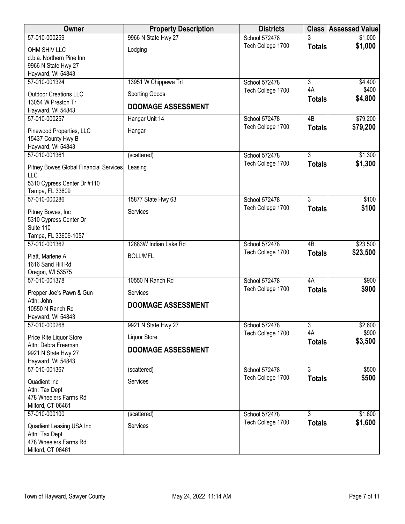| Owner                                      | <b>Property Description</b> | <b>Districts</b>                   |                | <b>Class Assessed Value</b> |
|--------------------------------------------|-----------------------------|------------------------------------|----------------|-----------------------------|
| 57-010-000259                              | 9966 N State Hwy 27         | School 572478                      | 3              | \$1,000                     |
| OHM SHIV LLC                               | Lodging                     | Tech College 1700                  | <b>Totals</b>  | \$1,000                     |
| d.b.a. Northern Pine Inn                   |                             |                                    |                |                             |
| 9966 N State Hwy 27                        |                             |                                    |                |                             |
| Hayward, WI 54843                          |                             |                                    |                |                             |
| 57-010-001324                              | 13951 W Chippewa Trl        | School 572478                      | $\overline{3}$ | \$4,400                     |
| <b>Outdoor Creations LLC</b>               | <b>Sporting Goods</b>       | Tech College 1700                  | 4A             | \$400                       |
| 13054 W Preston Tr                         | <b>DOOMAGE ASSESSMENT</b>   |                                    | <b>Totals</b>  | \$4,800                     |
| Hayward, WI 54843                          |                             |                                    |                |                             |
| 57-010-000257                              | Hangar Unit 14              | School 572478                      | 4B             | \$79,200                    |
| Pinewood Properties, LLC                   | Hangar                      | Tech College 1700                  | <b>Totals</b>  | \$79,200                    |
| 15437 County Hwy B                         |                             |                                    |                |                             |
| Hayward, WI 54843                          |                             |                                    |                |                             |
| 57-010-001361                              | (scattered)                 | School 572478                      | $\overline{3}$ | \$1,300                     |
| Pitney Bowes Global Financial Services     | Leasing                     | Tech College 1700                  | <b>Totals</b>  | \$1,300                     |
| <b>LLC</b>                                 |                             |                                    |                |                             |
| 5310 Cypress Center Dr #110                |                             |                                    |                |                             |
| Tampa, FL 33609                            |                             |                                    | $\overline{3}$ |                             |
| 57-010-000286                              | 15877 State Hwy 63          | School 572478<br>Tech College 1700 |                | \$100<br>\$100              |
| Pitney Bowes, Inc                          | Services                    |                                    | <b>Totals</b>  |                             |
| 5310 Cypress Center Dr                     |                             |                                    |                |                             |
| Suite 110                                  |                             |                                    |                |                             |
| Tampa, FL 33609-1057<br>57-010-001362      | 12883W Indian Lake Rd       | School 572478                      | 4B             | \$23,500                    |
|                                            |                             | Tech College 1700                  | <b>Totals</b>  | \$23,500                    |
| Platt, Marlene A                           | <b>BOLL/MFL</b>             |                                    |                |                             |
| 1616 Sand Hill Rd                          |                             |                                    |                |                             |
| Oregon, WI 53575<br>57-010-001378          | 10550 N Ranch Rd            | School 572478                      | 4A             | \$900                       |
|                                            |                             | Tech College 1700                  | <b>Totals</b>  | \$900                       |
| Prepper Joe's Pawn & Gun                   | Services                    |                                    |                |                             |
| Attn: John                                 | <b>DOOMAGE ASSESSMENT</b>   |                                    |                |                             |
| 10550 N Ranch Rd<br>Hayward, WI 54843      |                             |                                    |                |                             |
| 57-010-000268                              | 9921 N State Hwy 27         | School 572478                      | $\overline{3}$ | \$2,600                     |
|                                            |                             | Tech College 1700                  | 4A             | \$900                       |
| Price Rite Liquor Store                    | Liquor Store                |                                    | <b>Totals</b>  | \$3,500                     |
| Attn: Debra Freeman<br>9921 N State Hwy 27 | <b>DOOMAGE ASSESSMENT</b>   |                                    |                |                             |
| Hayward, WI 54843                          |                             |                                    |                |                             |
| 57-010-001367                              | (scattered)                 | School 572478                      | $\overline{3}$ | \$500                       |
|                                            | Services                    | Tech College 1700                  | <b>Totals</b>  | \$500                       |
| Quadient Inc<br>Attn: Tax Dept             |                             |                                    |                |                             |
| 478 Wheelers Farms Rd                      |                             |                                    |                |                             |
| Milford, CT 06461                          |                             |                                    |                |                             |
| 57-010-000100                              | (scattered)                 | School 572478                      | $\overline{3}$ | \$1,600                     |
| Quadient Leasing USA Inc                   | Services                    | Tech College 1700                  | <b>Totals</b>  | \$1,600                     |
| Attn: Tax Dept                             |                             |                                    |                |                             |
| 478 Wheelers Farms Rd                      |                             |                                    |                |                             |
| Milford, CT 06461                          |                             |                                    |                |                             |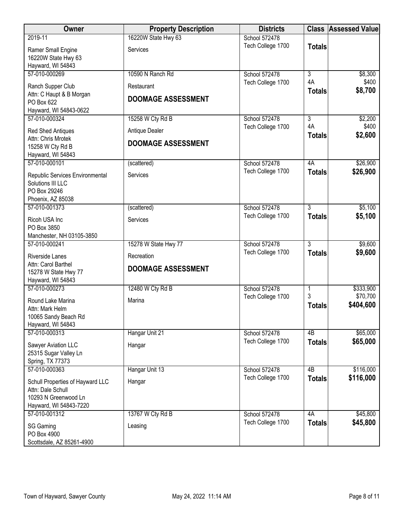| Owner                                                                                                   | <b>Property Description</b> | <b>Districts</b>  |                     | <b>Class Assessed Value</b> |
|---------------------------------------------------------------------------------------------------------|-----------------------------|-------------------|---------------------|-----------------------------|
| 2019-11                                                                                                 | 16220W State Hwy 63         | School 572478     |                     |                             |
| Ramer Small Engine<br>16220W State Hwy 63<br>Hayward, WI 54843                                          | Services                    | Tech College 1700 | <b>Totals</b>       |                             |
| 57-010-000269                                                                                           | 10590 N Ranch Rd            | School 572478     | $\overline{3}$      | \$8,300                     |
| Ranch Supper Club<br>Attn: C Haupt & B Morgan                                                           | Restaurant                  | Tech College 1700 | 4A<br><b>Totals</b> | \$400<br>\$8,700            |
| PO Box 622<br>Hayward, WI 54843-0622                                                                    | <b>DOOMAGE ASSESSMENT</b>   |                   |                     |                             |
| 57-010-000324                                                                                           | 15258 W Cty Rd B            | School 572478     | $\overline{3}$      | \$2,200                     |
| <b>Red Shed Antiques</b>                                                                                | Antique Dealer              | Tech College 1700 | 4A<br><b>Totals</b> | \$400<br>\$2,600            |
| Attn: Chris Mrotek<br>15258 W Cty Rd B<br>Hayward, WI 54843                                             | <b>DOOMAGE ASSESSMENT</b>   |                   |                     |                             |
| 57-010-000101                                                                                           | (scattered)                 | School 572478     | 4A                  | \$26,900                    |
| Republic Services Environmental<br>Solutions III LLC<br>PO Box 29246<br>Phoenix, AZ 85038               | Services                    | Tech College 1700 | <b>Totals</b>       | \$26,900                    |
| 57-010-001373                                                                                           | (scattered)                 | School 572478     | $\overline{3}$      | \$5,100                     |
| Ricoh USA Inc<br>PO Box 3850                                                                            | Services                    | Tech College 1700 | <b>Totals</b>       | \$5,100                     |
| Manchester, NH 03105-3850                                                                               |                             |                   |                     |                             |
| 57-010-000241                                                                                           | 15278 W State Hwy 77        | School 572478     | $\overline{3}$      | \$9,600                     |
| Riverside Lanes                                                                                         | Recreation                  | Tech College 1700 | <b>Totals</b>       | \$9,600                     |
| Attn: Carol Barthel<br>15278 W State Hwy 77<br>Hayward, WI 54843                                        | <b>DOOMAGE ASSESSMENT</b>   |                   |                     |                             |
| 57-010-000273                                                                                           | 12480 W Cty Rd B            | School 572478     | 1                   | \$333,900                   |
| Round Lake Marina<br>Attn: Mark Helm<br>10065 Sandy Beach Rd<br>Hayward, WI 54843                       | Marina                      | Tech College 1700 | 3<br><b>Totals</b>  | \$70,700<br>\$404,600       |
| 57-010-000313                                                                                           | Hangar Unit 21              | School 572478     | 4B                  | \$65,000                    |
| Sawyer Aviation LLC<br>25315 Sugar Valley Ln<br>Spring, TX 77373                                        | Hangar                      | Tech College 1700 | <b>Totals</b>       | \$65,000                    |
| 57-010-000363                                                                                           | Hangar Unit 13              | School 572478     | 4B                  | \$116,000                   |
| Schull Properties of Hayward LLC<br>Attn: Dale Schull<br>10293 N Greenwood Ln<br>Hayward, WI 54843-7220 | Hangar                      | Tech College 1700 | <b>Totals</b>       | \$116,000                   |
| 57-010-001312                                                                                           | 13767 W Cty Rd B            | School 572478     | 4A                  | \$45,800                    |
| <b>SG Gaming</b><br>PO Box 4900<br>Scottsdale, AZ 85261-4900                                            | Leasing                     | Tech College 1700 | <b>Totals</b>       | \$45,800                    |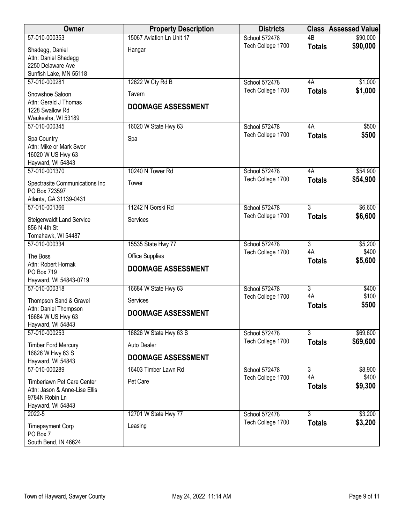| <b>Owner</b>                                                                                       | <b>Property Description</b> | <b>Districts</b>  |                     | <b>Class Assessed Value</b> |
|----------------------------------------------------------------------------------------------------|-----------------------------|-------------------|---------------------|-----------------------------|
| 57-010-000353                                                                                      | 15067 Aviation Ln Unit 17   | School 572478     | $\overline{AB}$     | \$90,000                    |
| Shadegg, Daniel<br>Attn: Daniel Shadegg<br>2250 Delaware Ave                                       | Hangar                      | Tech College 1700 | <b>Totals</b>       | \$90,000                    |
| Sunfish Lake, MN 55118                                                                             |                             |                   |                     |                             |
| 57-010-000281                                                                                      | 12622 W Cty Rd B            | School 572478     | 4A                  | \$1,000                     |
| Snowshoe Saloon                                                                                    | Tavern                      | Tech College 1700 | <b>Totals</b>       | \$1,000                     |
| Attn: Gerald J Thomas<br>1228 Swallow Rd                                                           | <b>DOOMAGE ASSESSMENT</b>   |                   |                     |                             |
| Waukesha, WI 53189<br>57-010-000345                                                                | 16020 W State Hwy 63        | School 572478     | 4A                  | \$500                       |
| Spa Country<br>Attn: Mike or Mark Swor                                                             | Spa                         | Tech College 1700 | <b>Totals</b>       | \$500                       |
| 16020 W US Hwy 63<br>Hayward, WI 54843                                                             |                             |                   |                     |                             |
| 57-010-001370                                                                                      | 10240 N Tower Rd            | School 572478     | 4A                  | \$54,900                    |
| Spectrasite Communications Inc<br>PO Box 723597<br>Atlanta, GA 31139-0431                          | Tower                       | Tech College 1700 | <b>Totals</b>       | \$54,900                    |
| 57-010-001366                                                                                      | 11242 N Gorski Rd           | School 572478     | $\overline{3}$      | \$6,600                     |
| Steigerwaldt Land Service<br>856 N 4th St                                                          | Services                    | Tech College 1700 | <b>Totals</b>       | \$6,600                     |
| Tomahawk, WI 54487                                                                                 |                             |                   |                     |                             |
| 57-010-000334                                                                                      | 15535 State Hwy 77          | School 572478     | $\overline{3}$      | \$5,200                     |
| The Boss                                                                                           | Office Supplies             | Tech College 1700 | 4A                  | \$400<br>\$5,600            |
| Attn: Robert Hornak<br>PO Box 719<br>Hayward, WI 54843-0719                                        | <b>DOOMAGE ASSESSMENT</b>   |                   | <b>Totals</b>       |                             |
| 57-010-000318                                                                                      | 16684 W State Hwy 63        | School 572478     | $\overline{3}$      | \$400                       |
| Thompson Sand & Gravel                                                                             | Services                    | Tech College 1700 | 4A                  | \$100                       |
| Attn: Daniel Thompson<br>16684 W US Hwy 63<br>Hayward, WI 54843                                    | <b>DOOMAGE ASSESSMENT</b>   |                   | <b>Totals</b>       | \$500                       |
| 57-010-000253                                                                                      | 16826 W State Hwy 63 S      | School 572478     | $\overline{3}$      | \$69,600                    |
| <b>Timber Ford Mercury</b>                                                                         | Auto Dealer                 | Tech College 1700 | <b>Totals</b>       | \$69,600                    |
| 16826 W Hwy 63 S<br>Hayward, WI 54843                                                              | <b>DOOMAGE ASSESSMENT</b>   |                   |                     |                             |
| 57-010-000289                                                                                      | 16403 Timber Lawn Rd        | School 572478     | $\overline{3}$      | \$8,900                     |
| Timberlawn Pet Care Center<br>Attn: Jason & Anne-Lise Ellis<br>9784N Robin Ln<br>Hayward, WI 54843 | Pet Care                    | Tech College 1700 | 4A<br><b>Totals</b> | \$400<br>\$9,300            |
| $2022 - 5$                                                                                         | 12701 W State Hwy 77        | School 572478     | $\overline{3}$      | \$3,200                     |
| <b>Timepayment Corp</b><br>PO Box 7<br>South Bend, IN 46624                                        | Leasing                     | Tech College 1700 | <b>Totals</b>       | \$3,200                     |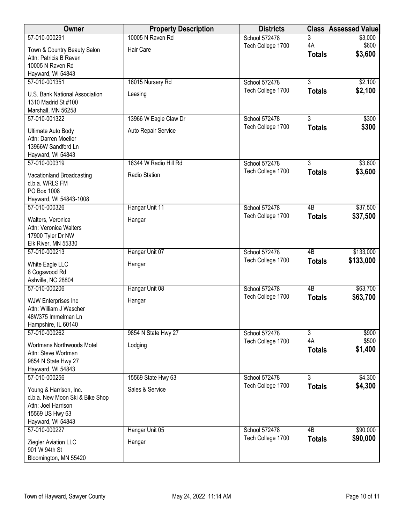| Owner                                  | <b>Property Description</b> | <b>Districts</b>                   | <b>Class</b>    | <b>Assessed Value</b>  |
|----------------------------------------|-----------------------------|------------------------------------|-----------------|------------------------|
| 57-010-000291                          | 10005 N Raven Rd            | School 572478                      | 3               | \$3,000                |
| Town & Country Beauty Salon            | Hair Care                   | Tech College 1700                  | 4A              | \$600                  |
| Attn: Patricia B Raven                 |                             |                                    | <b>Totals</b>   | \$3,600                |
| 10005 N Raven Rd                       |                             |                                    |                 |                        |
| Hayward, WI 54843                      |                             |                                    |                 |                        |
| 57-010-001351                          | 16015 Nursery Rd            | School 572478                      | $\overline{3}$  | \$2,100                |
| U.S. Bank National Association         | Leasing                     | Tech College 1700                  | <b>Totals</b>   | \$2,100                |
| 1310 Madrid St #100                    |                             |                                    |                 |                        |
| Marshall, MN 56258                     |                             |                                    |                 |                        |
| 57-010-001322                          | 13966 W Eagle Claw Dr       | School 572478                      | $\overline{3}$  | \$300                  |
| Ultimate Auto Body                     | Auto Repair Service         | Tech College 1700                  | <b>Totals</b>   | \$300                  |
| Attn: Darren Moeller                   |                             |                                    |                 |                        |
| 13966W Sandford Ln                     |                             |                                    |                 |                        |
| Hayward, WI 54843                      |                             |                                    |                 |                        |
| 57-010-000319                          | 16344 W Radio Hill Rd       | School 572478                      | $\overline{3}$  | \$3,600                |
| Vacationland Broadcasting              | Radio Station               | Tech College 1700                  | <b>Totals</b>   | \$3,600                |
| d.b.a. WRLS FM                         |                             |                                    |                 |                        |
| PO Box 1008                            |                             |                                    |                 |                        |
| Hayward, WI 54843-1008                 |                             |                                    |                 |                        |
| 57-010-000326                          | Hangar Unit 11              | School 572478<br>Tech College 1700 | $\overline{AB}$ | \$37,500               |
| Walters, Veronica                      | Hangar                      |                                    | <b>Totals</b>   | \$37,500               |
| Attn: Veronica Walters                 |                             |                                    |                 |                        |
| 17900 Tyler Dr NW                      |                             |                                    |                 |                        |
| Elk River, MN 55330                    |                             |                                    |                 |                        |
| 57-010-000213                          | Hangar Unit 07              | School 572478<br>Tech College 1700 | 4B              | \$133,000<br>\$133,000 |
| White Eagle LLC                        | Hangar                      |                                    | <b>Totals</b>   |                        |
| 8 Cogswood Rd                          |                             |                                    |                 |                        |
| Ashville, NC 28804                     |                             |                                    |                 |                        |
| 57-010-000206                          | Hangar Unit 08              | School 572478                      | $\overline{AB}$ | \$63,700               |
| <b>WJW Enterprises Inc</b>             | Hangar                      | Tech College 1700                  | <b>Totals</b>   | \$63,700               |
| Attn: William J Wascher                |                             |                                    |                 |                        |
| 48W375 Immelman Ln                     |                             |                                    |                 |                        |
| Hampshire, IL 60140<br>57-010-000262   |                             |                                    | $\overline{3}$  |                        |
|                                        | 9854 N State Hwy 27         | School 572478<br>Tech College 1700 | 4A              | \$900<br>\$500         |
| Wortmans Northwoods Motel              | Lodging                     |                                    | <b>Totals</b>   | \$1,400                |
| Attn: Steve Wortman                    |                             |                                    |                 |                        |
| 9854 N State Hwy 27                    |                             |                                    |                 |                        |
| Hayward, WI 54843<br>57-010-000256     | 15569 State Hwy 63          | School 572478                      | $\overline{3}$  | \$4,300                |
|                                        |                             | Tech College 1700                  | <b>Totals</b>   | \$4,300                |
| Young & Harrison, Inc.                 | Sales & Service             |                                    |                 |                        |
| d.b.a. New Moon Ski & Bike Shop        |                             |                                    |                 |                        |
| Attn: Joel Harrison<br>15569 US Hwy 63 |                             |                                    |                 |                        |
| Hayward, WI 54843                      |                             |                                    |                 |                        |
| 57-010-000227                          | Hangar Unit 05              | School 572478                      | $\overline{AB}$ | \$90,000               |
|                                        |                             | Tech College 1700                  | <b>Totals</b>   | \$90,000               |
| Ziegler Aviation LLC<br>901 W 94th St  | Hangar                      |                                    |                 |                        |
| Bloomington, MN 55420                  |                             |                                    |                 |                        |
|                                        |                             |                                    |                 |                        |